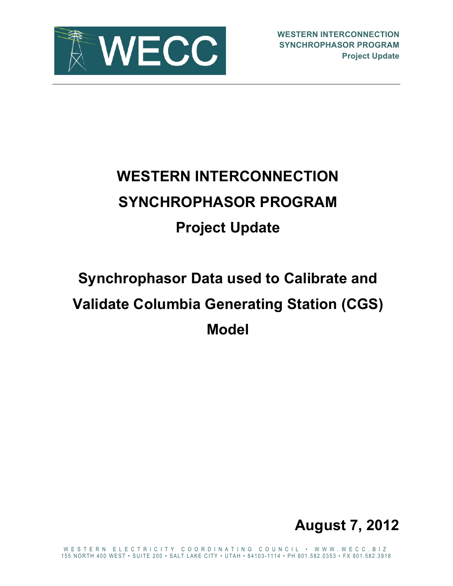

# **WESTERN INTERCONNECTION SYNCHROPHASOR PROGRAM Project Update**

## **Synchrophasor Data used to Calibrate and Validate Columbia Generating Station (CGS) Model**



WESTERN ELECTRICITY COORDINATING COUNCIL • WWW.WECC.BIZ 155 NORTH 400 WEST • SUITE 200 • SALT LAKE CITY • UTAH • 84103 - 1114 • PH 801.582.0353 • FX 801.582.3918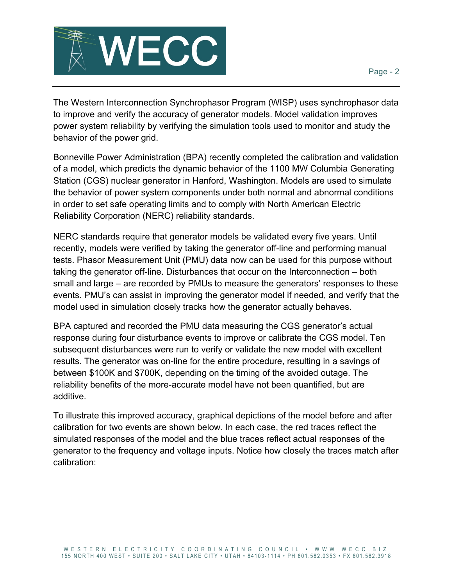



The Western Interconnection Synchrophasor Program (WISP) uses synchrophasor data to improve and verify the accuracy of generator models. Model validation improves power system reliability by verifying the simulation tools used to monitor and study the behavior of the power grid.

Bonneville Power Administration (BPA) recently completed the calibration and validation of a model, which predicts the dynamic behavior of the 1100 MW Columbia Generating Station (CGS) nuclear generator in Hanford, Washington. Models are used to simulate the behavior of power system components under both normal and abnormal conditions in order to set safe operating limits and to comply with North American Electric Reliability Corporation (NERC) reliability standards.

NERC standards require that generator models be validated every five years. Until recently, models were verified by taking the generator off-line and performing manual tests. Phasor Measurement Unit (PMU) data now can be used for this purpose without taking the generator off-line. Disturbances that occur on the Interconnection – both small and large – are recorded by PMUs to measure the generators' responses to these events. PMU's can assist in improving the generator model if needed, and verify that the model used in simulation closely tracks how the generator actually behaves.

BPA captured and recorded the PMU data measuring the CGS generator's actual response during four disturbance events to improve or calibrate the CGS model. Ten subsequent disturbances were run to verify or validate the new model with excellent results. The generator was on-line for the entire procedure, resulting in a savings of between \$100K and \$700K, depending on the timing of the avoided outage. The reliability benefits of the more-accurate model have not been quantified, but are additive.

To illustrate this improved accuracy, graphical depictions of the model before and after calibration for two events are shown below. In each case, the red traces reflect the simulated responses of the model and the blue traces reflect actual responses of the generator to the frequency and voltage inputs. Notice how closely the traces match after calibration: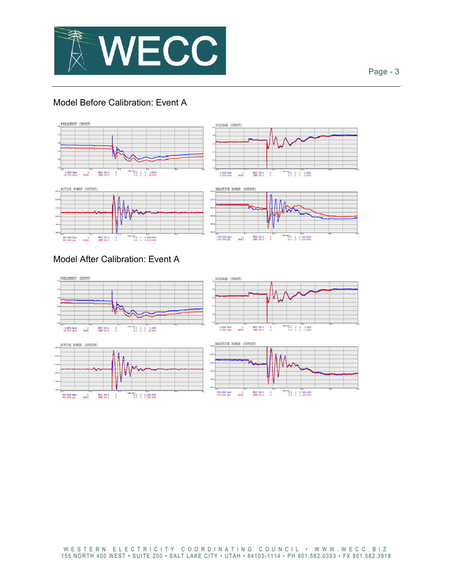

#### Page - 3

### Model Before Calibration: Event A



#### Model After Calibration: Event A

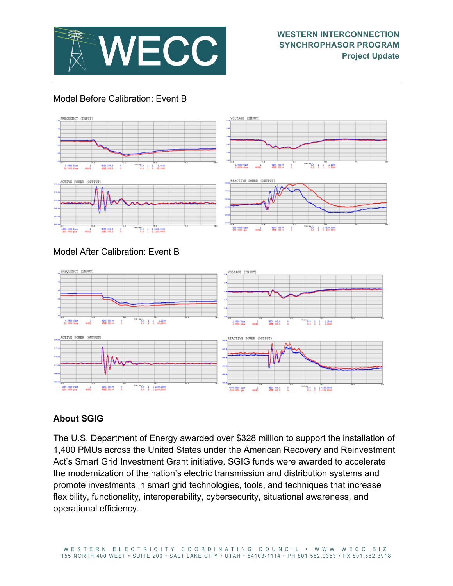

#### Model Before Calibration: Event B



### **About SGIG**

The U.S. Department of Energy awarded over \$328 million to support the installation of 1,400 PMUs across the United States under the American Recovery and Reinvestment Act's Smart Grid Investment Grant initiative. SGIG funds were awarded to accelerate the modernization of the nation's electric transmission and distribution systems and promote investments in smart grid technologies, tools, and techniques that increase flexibility, functionality, interoperability, cybersecurity, situational awareness, and operational efficiency.